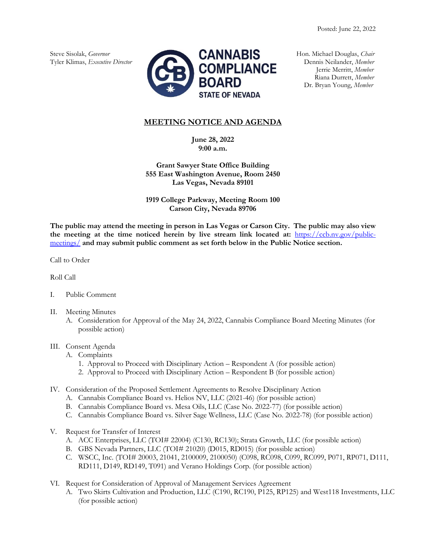

Riana Durrett, *Member* Dr. Bryan Young, *Member*

# **MEETING NOTICE AND AGENDA**

**June 28, 2022 9:00 a.m.**

**Grant Sawyer State Office Building 555 East Washington Avenue, Room 2450 Las Vegas, Nevada 89101**

**1919 College Parkway, Meeting Room 100 Carson City, Nevada 89706**

**The public may attend the meeting in person in Las Vegas or Carson City. The public may also view the meeting at the time noticed herein by live stream link located at:** [https://ccb.nv.gov/public](https://ccb.nv.gov/public-meetings/)[meetings/](https://ccb.nv.gov/public-meetings/) **and may submit public comment as set forth below in the Public Notice section.**

Call to Order

Roll Call

- I. Public Comment
- II. Meeting Minutes
	- A. Consideration for Approval of the May 24, 2022, Cannabis Compliance Board Meeting Minutes (for possible action)
- III. Consent Agenda
	- A. Complaints
		- 1. Approval to Proceed with Disciplinary Action Respondent A (for possible action)
		- 2. Approval to Proceed with Disciplinary Action Respondent B (for possible action)
- IV. Consideration of the Proposed Settlement Agreements to Resolve Disciplinary Action
	- A. Cannabis Compliance Board vs. Helios NV, LLC (2021-46) (for possible action)
	- B. Cannabis Compliance Board vs. Mesa Oils, LLC (Case No. 2022-77) (for possible action)
	- C. Cannabis Compliance Board vs. Silver Sage Wellness, LLC (Case No. 2022-78) (for possible action)
- V. Request for Transfer of Interest
	- A. ACC Enterprises, LLC (TOI# 22004) (C130, RC130); Strata Growth, LLC (for possible action)
	- B. GBS Nevada Partners, LLC (TOI# 21020) (D015, RD015) (for possible action)
	- C. WSCC, Inc. (TOI# 20003, 21041, 2100009, 2100050) (C098, RC098, C099, RC099, P071, RP071, D111, RD111, D149, RD149, T091) and Verano Holdings Corp. (for possible action)
- VI. Request for Consideration of Approval of Management Services Agreement
	- A. Two Skirts Cultivation and Production, LLC (C190, RC190, P125, RP125) and West118 Investments, LLC (for possible action)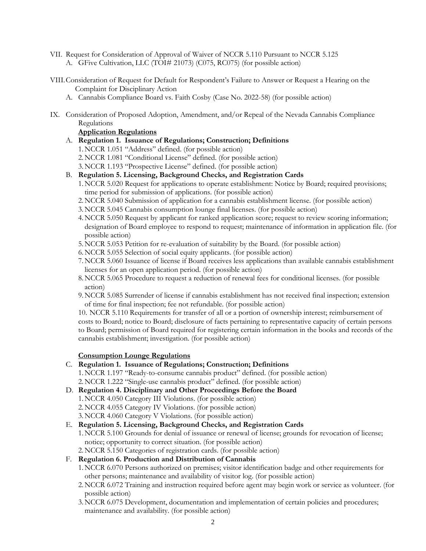- VII. Request for Consideration of Approval of Waiver of NCCR 5.110 Pursuant to NCCR 5.125 A. GFive Cultivation, LLC (TOI# 21073) (C075, RC075) (for possible action)
- VIII.Consideration of Request for Default for Respondent's Failure to Answer or Request a Hearing on the Complaint for Disciplinary Action
	- A. Cannabis Compliance Board vs. Faith Cosby (Case No. 2022-58) (for possible action)
- IX. Consideration of Proposed Adoption, Amendment, and/or Repeal of the Nevada Cannabis Compliance Regulations

#### **Application Regulations**

- A. **Regulation 1. Issuance of Regulations; Construction; Definitions**
	- 1.NCCR 1.051 "Address" defined. (for possible action)
	- 2.NCCR 1.081 "Conditional License" defined. (for possible action)
	- 3.NCCR 1.193 "Prospective License" defined. (for possible action)
- B. **Regulation 5. Licensing, Background Checks, and Registration Cards**
	- 1.NCCR 5.020 Request for applications to operate establishment: Notice by Board; required provisions; time period for submission of applications. (for possible action)
	- 2.NCCR 5.040 Submission of application for a cannabis establishment license. (for possible action)
	- 3.NCCR 5.045 Cannabis consumption lounge final licenses. (for possible action)
	- 4.NCCR 5.050 Request by applicant for ranked application score; request to review scoring information; designation of Board employee to respond to request; maintenance of information in application file. (for possible action)
	- 5.NCCR 5.053 Petition for re-evaluation of suitability by the Board. (for possible action)
	- 6.NCCR 5.055 Selection of social equity applicants. (for possible action)
	- 7.NCCR 5.060 Issuance of license if Board receives less applications than available cannabis establishment licenses for an open application period. (for possible action)
	- 8.NCCR 5.065 Procedure to request a reduction of renewal fees for conditional licenses. (for possible action)
	- 9.NCCR 5.085 Surrender of license if cannabis establishment has not received final inspection; extension of time for final inspection; fee not refundable. (for possible action)

10. NCCR 5.110 Requirements for transfer of all or a portion of ownership interest; reimbursement of costs to Board; notice to Board; disclosure of facts pertaining to representative capacity of certain persons to Board; permission of Board required for registering certain information in the books and records of the cannabis establishment; investigation. (for possible action)

## **Consumption Lounge Regulations**

#### C. **Regulation 1. Issuance of Regulations; Construction; Definitions**

- 1.NCCR 1.197 "Ready-to-consume cannabis product" defined. (for possible action) 2.NCCR 1.222 "Single-use cannabis product" defined. (for possible action)
- D. **Regulation 4. Disciplinary and Other Proceedings Before the Board** 1.NCCR 4.050 Category III Violations. (for possible action) 2.NCCR 4.055 Category IV Violations. (for possible action) 3.NCCR 4.060 Category V Violations. (for possible action)

## E. **Regulation 5. Licensing, Background Checks, and Registration Cards**

- 1.NCCR 5.100 Grounds for denial of issuance or renewal of license; grounds for revocation of license; notice; opportunity to correct situation. (for possible action)
- 2.NCCR 5.150 Categories of registration cards. (for possible action)

## F. **Regulation 6. Production and Distribution of Cannabis**

- 1.NCCR 6.070 Persons authorized on premises; visitor identification badge and other requirements for other persons; maintenance and availability of visitor log. (for possible action)
- 2.NCCR 6.072 Training and instruction required before agent may begin work or service as volunteer. (for possible action)
- 3.NCCR 6.075 Development, documentation and implementation of certain policies and procedures; maintenance and availability. (for possible action)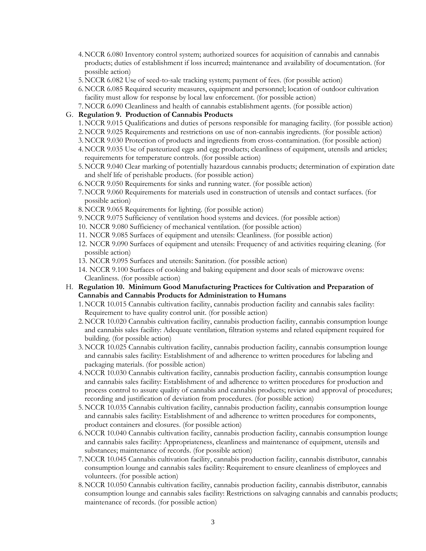- 4.NCCR 6.080 Inventory control system; authorized sources for acquisition of cannabis and cannabis products; duties of establishment if loss incurred; maintenance and availability of documentation. (for possible action)
- 5.NCCR 6.082 Use of seed-to-sale tracking system; payment of fees. (for possible action)
- 6.NCCR 6.085 Required security measures, equipment and personnel; location of outdoor cultivation facility must allow for response by local law enforcement. (for possible action)
- 7.NCCR 6.090 Cleanliness and health of cannabis establishment agents. (for possible action)
- G. **Regulation 9. Production of Cannabis Products**
	- 1.NCCR 9.015 Qualifications and duties of persons responsible for managing facility. (for possible action)
	- 2.NCCR 9.025 Requirements and restrictions on use of non-cannabis ingredients. (for possible action)
	- 3.NCCR 9.030 Protection of products and ingredients from cross-contamination. (for possible action)
	- 4.NCCR 9.035 Use of pasteurized eggs and egg products; cleanliness of equipment, utensils and articles; requirements for temperature controls. (for possible action)
	- 5.NCCR 9.040 Clear marking of potentially hazardous cannabis products; determination of expiration date and shelf life of perishable products. (for possible action)
	- 6.NCCR 9.050 Requirements for sinks and running water. (for possible action)
	- 7.NCCR 9.060 Requirements for materials used in construction of utensils and contact surfaces. (for possible action)
	- 8.NCCR 9.065 Requirements for lighting. (for possible action)
	- 9.NCCR 9.075 Sufficiency of ventilation hood systems and devices. (for possible action)
	- 10. NCCR 9.080 Sufficiency of mechanical ventilation. (for possible action)
	- 11. NCCR 9.085 Surfaces of equipment and utensils: Cleanliness. (for possible action)
	- 12. NCCR 9.090 Surfaces of equipment and utensils: Frequency of and activities requiring cleaning. (for possible action)
	- 13. NCCR 9.095 Surfaces and utensils: Sanitation. (for possible action)
	- 14. NCCR 9.100 Surfaces of cooking and baking equipment and door seals of microwave ovens: Cleanliness. (for possible action)
- H. **Regulation 10. Minimum Good Manufacturing Practices for Cultivation and Preparation of Cannabis and Cannabis Products for Administration to Humans**
	- 1.NCCR 10.015 Cannabis cultivation facility, cannabis production facility and cannabis sales facility: Requirement to have quality control unit. (for possible action)
	- 2.NCCR 10.020 Cannabis cultivation facility, cannabis production facility, cannabis consumption lounge and cannabis sales facility: Adequate ventilation, filtration systems and related equipment required for building. (for possible action)
	- 3.NCCR 10.025 Cannabis cultivation facility, cannabis production facility, cannabis consumption lounge and cannabis sales facility: Establishment of and adherence to written procedures for labeling and packaging materials. (for possible action)
	- 4.NCCR 10.030 Cannabis cultivation facility, cannabis production facility, cannabis consumption lounge and cannabis sales facility: Establishment of and adherence to written procedures for production and process control to assure quality of cannabis and cannabis products; review and approval of procedures; recording and justification of deviation from procedures. (for possible action)
	- 5.NCCR 10.035 Cannabis cultivation facility, cannabis production facility, cannabis consumption lounge and cannabis sales facility: Establishment of and adherence to written procedures for components, product containers and closures. (for possible action)
	- 6.NCCR 10.040 Cannabis cultivation facility, cannabis production facility, cannabis consumption lounge and cannabis sales facility: Appropriateness, cleanliness and maintenance of equipment, utensils and substances; maintenance of records. (for possible action)
	- 7.NCCR 10.045 Cannabis cultivation facility, cannabis production facility, cannabis distributor, cannabis consumption lounge and cannabis sales facility: Requirement to ensure cleanliness of employees and volunteers. (for possible action)
	- 8.NCCR 10.050 Cannabis cultivation facility, cannabis production facility, cannabis distributor, cannabis consumption lounge and cannabis sales facility: Restrictions on salvaging cannabis and cannabis products; maintenance of records. (for possible action)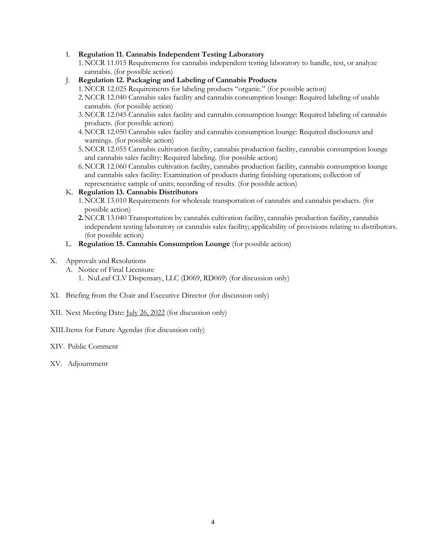#### I. **Regulation 11. Cannabis Independent Testing Laboratory**

- 1.NCCR 11.015 Requirements for cannabis independent testing laboratory to handle, test, or analyze cannabis. (for possible action)
- J. **Regulation 12. Packaging and Labeling of Cannabis Products**
	- 1.NCCR 12.025 Requirements for labeling products "organic." (for possible action)
	- 2.NCCR 12.040 Cannabis sales facility and cannabis consumption lounge: Required labeling of usable cannabis. (for possible action)
	- 3.NCCR 12.045 Cannabis sales facility and cannabis consumption lounge: Required labeling of cannabis products. (for possible action)
	- 4.NCCR 12.050 Cannabis sales facility and cannabis consumption lounge: Required disclosures and warnings. (for possible action)
	- 5.NCCR 12.055 Cannabis cultivation facility, cannabis production facility, cannabis consumption lounge and cannabis sales facility: Required labeling. (for possible action)
	- 6.NCCR 12.060 Cannabis cultivation facility, cannabis production facility, cannabis consumption lounge and cannabis sales facility: Examination of products during finishing operations; collection of representative sample of units; recording of results. (for possible action)

#### K. **Regulation 13. Cannabis Distributors**

- 1.NCCR 13.010 Requirements for wholesale transportation of cannabis and cannabis products. (for possible action)
- **2.**NCCR 13.040 Transportation by cannabis cultivation facility, cannabis production facility, cannabis independent testing laboratory or cannabis sales facility; applicability of provisions relating to distributors. (for possible action)
- L. **Regulation 15. Cannabis Consumption Lounge** (for possible action)
- X. Approvals and Resolutions
	- A. Notice of Final Licensure
		- 1. NuLeaf CLV Dispensary, LLC (D069, RD069) (for discussion only)
- XI. Briefing from the Chair and Executive Director (for discussion only)
- XII. Next Meeting Date: July 26, 2022 (for discussion only)
- XIII.Items for Future Agendas (for discussion only)
- XIV. Public Comment
- XV. Adjournment